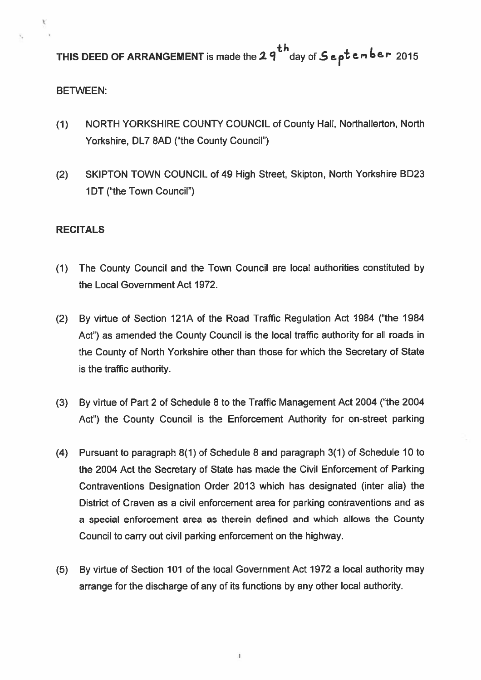THIS DEED OF ARRANGEMENT is made the  $2.9^{th}$  day of  $6.6^{th}$  ember 2015

## BETWEEN:

- (1) NORTH YORKSHIRE COUNTY COUNCIL of County Hall, Northallerton, North Yorkshire, DL7 8AD ("the County Council")
- (2) SKIPTON TOWN COUNCIL of 49 High Street, Skipton, North Yorkshire BD23 1DT ("the Town Council")

## **RECITALS**

- (1) The County Council and the Town Council are local authorities constituted by the Local Government Act 1972.
- (2) By virtue of Section 121A of the Road Traffic Regulation Act 1984 ("the 1984 Act") as amended the County Council is the local traffic authority for all roads in the County of North Yorkshire other than those for which the Secretary of State is the traffic authority.
- (3) By virtue of Part <sup>2</sup> of Schedule 8 to the Traffic Management Act 2004 ("the 2004 Act") the County Council is the Enforcement Authority for on-street parking
- (4) Pursuant to paragraph 8(1) of Schedule <sup>B</sup> and paragraph 3(1) of Schedule 10 to the 2004 Act the Secretary of State has made the Civil Enforcement of Parking Contraventions Designation Order 2013 which has designated (inter alia) the District of Craven as <sup>a</sup> civil enforcement area for parking contraventions and as <sup>a</sup> special enforcement area as therein defined and which allows the County Council to carry out civil parking enforcement on the highway.
- (5) By virtue of Section 101 of the local Government Act 1972 <sup>a</sup> local authority may arrange for the discharge of any of its functions by any other local authority.

I